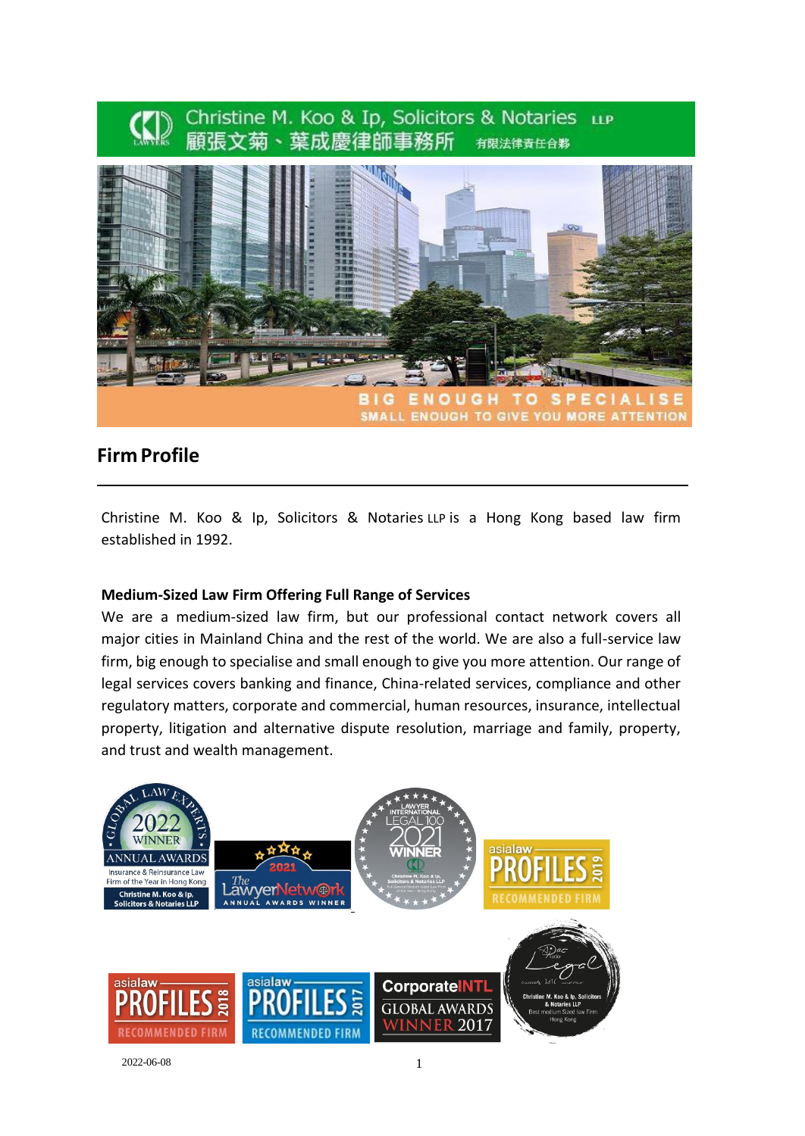

# **Firm Profile**

Christine M. Koo & Ip, Solicitors & Notaries LLP is a Hong Kong based law firm established in 1992.

#### **Medium-Sized Law Firm Offering Full Range of Services**

We are a medium-sized law firm, but our professional contact network covers all major cities in Mainland China and the rest of the world. We are also a full-service law firm, big enough to specialise and small enough to give you more attention. Our range of legal services covers banking and finance, China-related services, compliance and other regulatory matters, corporate and commercial, human resources, insurance, intellectual property, litigation and alternative dispute resolution, marriage and family, property, and trust and wealth management.



2022-06-08 1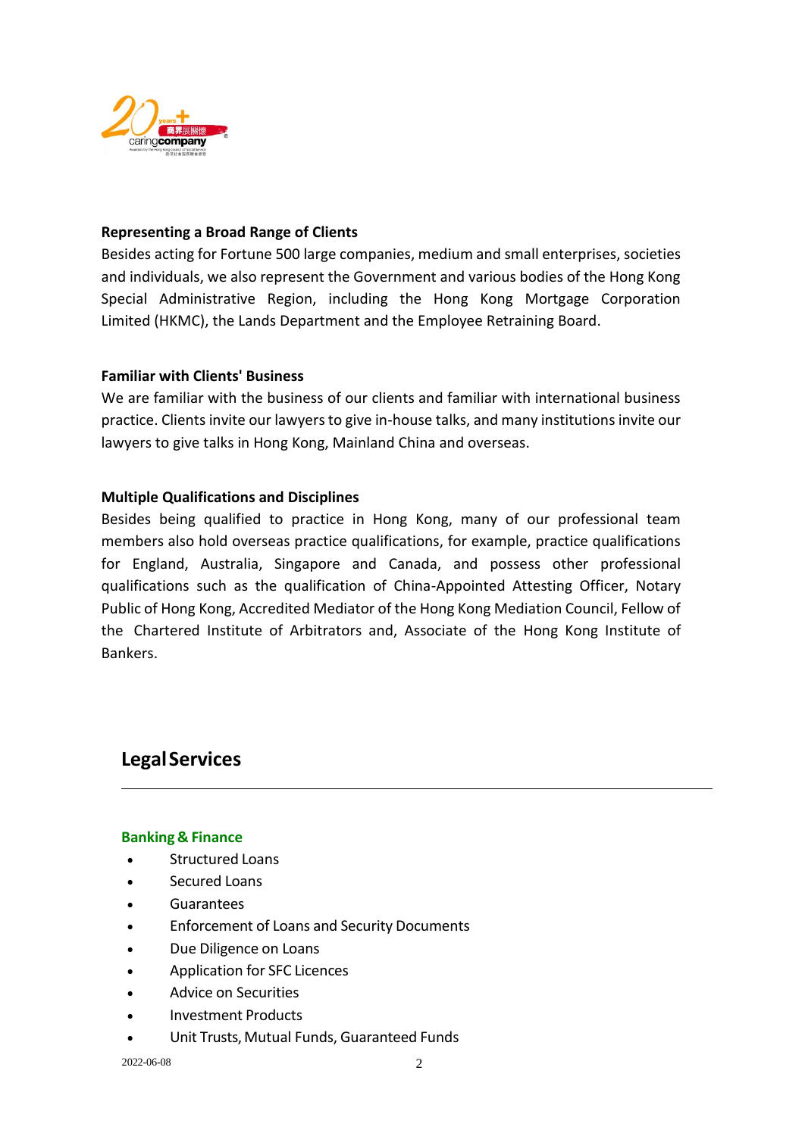

## **Representing a Broad Range of Clients**

Besides acting for Fortune 500 large companies, medium and small enterprises, societies and individuals, we also represent the Government and various bodies of the Hong Kong Special Administrative Region, including the Hong Kong Mortgage Corporation Limited (HKMC), the Lands Department and the Employee Retraining Board.

## **Familiar with Clients' Business**

We are familiar with the business of our clients and familiar with international business practice. Clients invite our lawyers to give in-house talks, and many institutions invite our lawyers to give talks in Hong Kong, Mainland China and overseas.

## **Multiple Qualifications and Disciplines**

Besides being qualified to practice in Hong Kong, many of our professional team members also hold overseas practice qualifications, for example, practice qualifications for England, Australia, Singapore and Canada, and possess other professional qualifications such as the qualification of China-Appointed Attesting Officer, Notary Public of Hong Kong, Accredited Mediator of the Hong Kong Mediation Council, Fellow of the Chartered Institute of Arbitrators and, Associate of the Hong Kong Institute of Bankers.

# **LegalServices**

## **Banking & Finance**

- Structured Loans
- Secured Loans
- Guarantees
- Enforcement of Loans and Security Documents
- Due Diligence on Loans
- Application for SFC Licences
- Advice on Securities
- Investment Products
- Unit Trusts, Mutual Funds, Guaranteed Funds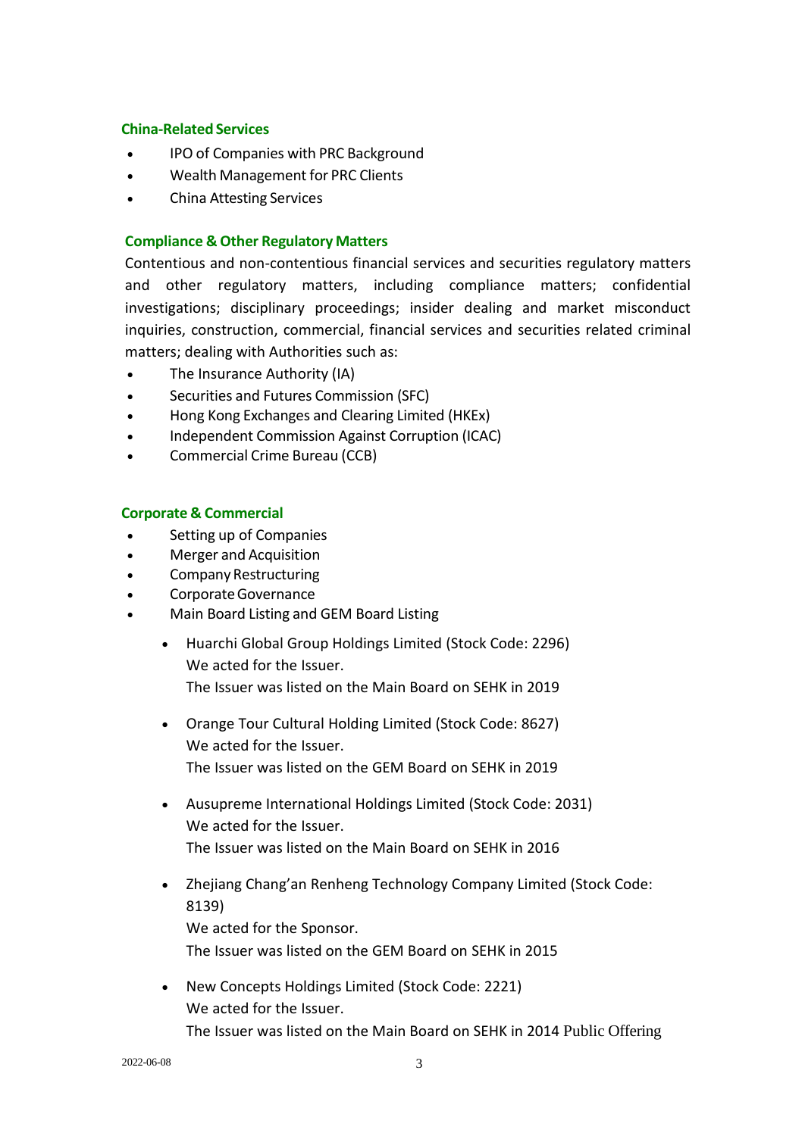#### **China-Related Services**

- IPO of Companies with PRC Background
- Wealth Management for PRC Clients
- China Attesting Services

## **Compliance & Other Regulatory Matters**

Contentious and non-contentious financial services and securities regulatory matters and other regulatory matters, including compliance matters; confidential investigations; disciplinary proceedings; insider dealing and market misconduct inquiries, construction, commercial, financial services and securities related criminal matters; dealing with Authorities such as:

- The Insurance Authority (IA)
- Securities and Futures Commission (SFC)
- Hong Kong Exchanges and Clearing Limited (HKEx)
- Independent Commission Against Corruption (ICAC)
- Commercial Crime Bureau (CCB)

## **Corporate & Commercial**

- Setting up of Companies
- Merger and Acquisition
- Company Restructuring
- CorporateGovernance
- Main Board Listing and GEM Board Listing
	- Huarchi Global Group Holdings Limited (Stock Code: 2296) We acted for the Issuer. The Issuer was listed on the Main Board on SEHK in 2019
	- Orange Tour Cultural Holding Limited (Stock Code: 8627) We acted for the Issuer. The Issuer was listed on the GEM Board on SEHK in 2019
	- Ausupreme International Holdings Limited (Stock Code: 2031) We acted for the Issuer. The Issuer was listed on the Main Board on SEHK in 2016
	- Zhejiang Chang'an Renheng Technology Company Limited (Stock Code: 8139) We acted for the Sponsor. The Issuer was listed on the GEM Board on SEHK in 2015
	- New Concepts Holdings Limited (Stock Code: 2221) We acted for the Issuer. The Issuer was listed on the Main Board on SEHK in 2014 Public Offering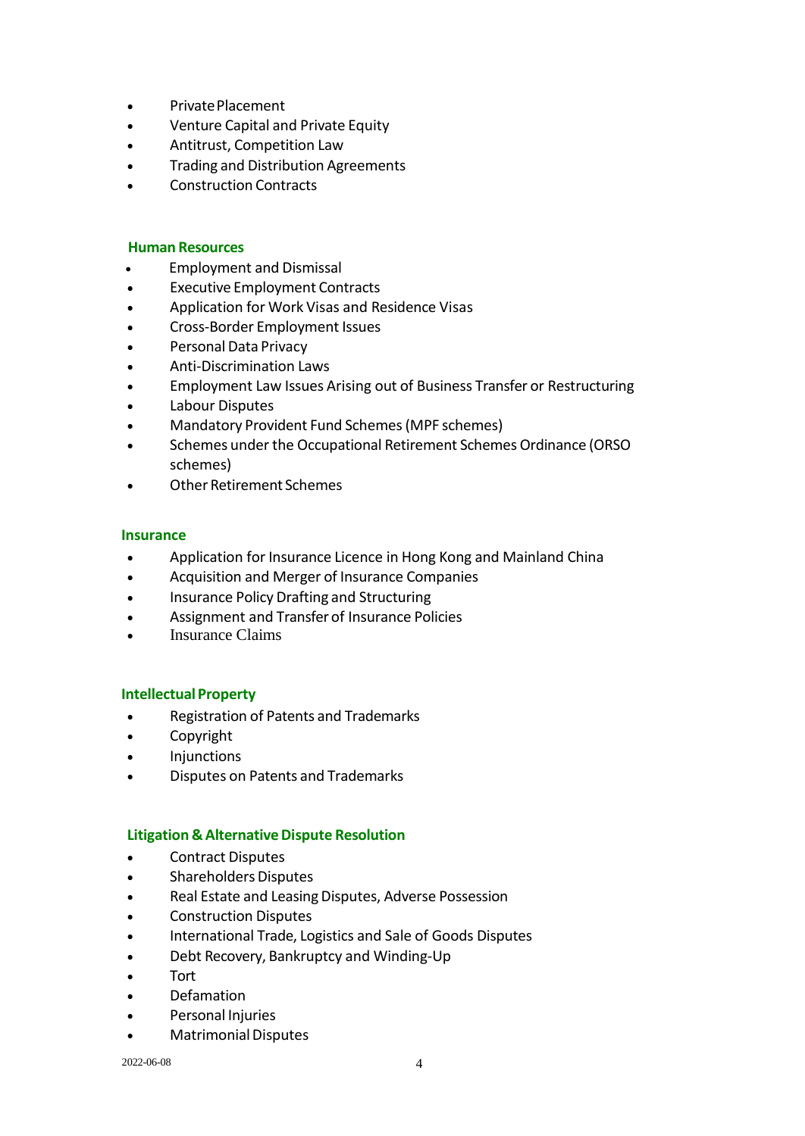- Private Placement
- Venture Capital and Private Equity
- Antitrust, Competition Law
- Trading and Distribution Agreements
- Construction Contracts

#### **Human Resources**

- Employment and Dismissal
- **Executive Employment Contracts**
- Application for Work Visas and Residence Visas
- Cross-Border Employment Issues
- Personal Data Privacy
- Anti-Discrimination Laws
- Employment Law Issues Arising out of Business Transfer or Restructuring
- Labour Disputes
- Mandatory Provident Fund Schemes(MPF schemes)
- Schemes under the Occupational Retirement Schemes Ordinance (ORSO schemes)
- Other Retirement Schemes

#### **Insurance**

- Application for Insurance Licence in Hong Kong and Mainland China
- Acquisition and Merger of Insurance Companies
- Insurance Policy Drafting and Structuring
- Assignment and Transfer of Insurance Policies
- **Insurance Claims**

## **Intellectual Property**

- Registration of Patents and Trademarks
- Copyright
- Injunctions
- Disputes on Patents and Trademarks

## **Litigation & Alternative Dispute Resolution**

- Contract Disputes
- Shareholders Disputes
- Real Estate and Leasing Disputes, Adverse Possession
- Construction Disputes
- International Trade, Logistics and Sale of Goods Disputes
- Debt Recovery, Bankruptcy and Winding-Up
- Tort
- Defamation
- Personal Injuries
- Matrimonial Disputes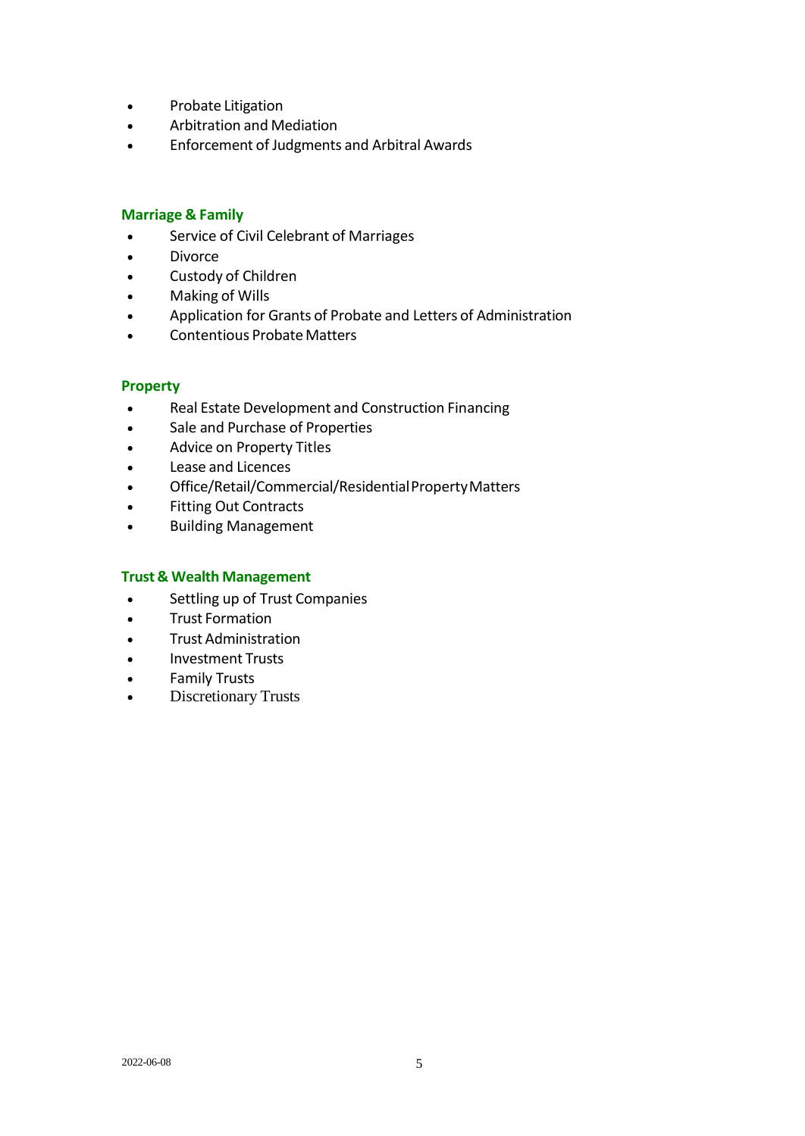- Probate Litigation
- Arbitration and Mediation
- Enforcement of Judgments and Arbitral Awards

#### **Marriage & Family**

- Service of Civil Celebrant of Marriages
- Divorce
- Custody of Children
- Making of Wills
- Application for Grants of Probate and Letters of Administration
- Contentious Probate Matters

## **Property**

- Real Estate Development and Construction Financing
- Sale and Purchase of Properties
- Advice on Property Titles
- Lease and Licences
- Office/Retail/Commercial/ResidentialPropertyMatters
- Fitting Out Contracts
- Building Management

#### **Trust & Wealth Management**

- Settling up of Trust Companies
- Trust Formation
- Trust Administration
- Investment Trusts
- Family Trusts
- Discretionary Trusts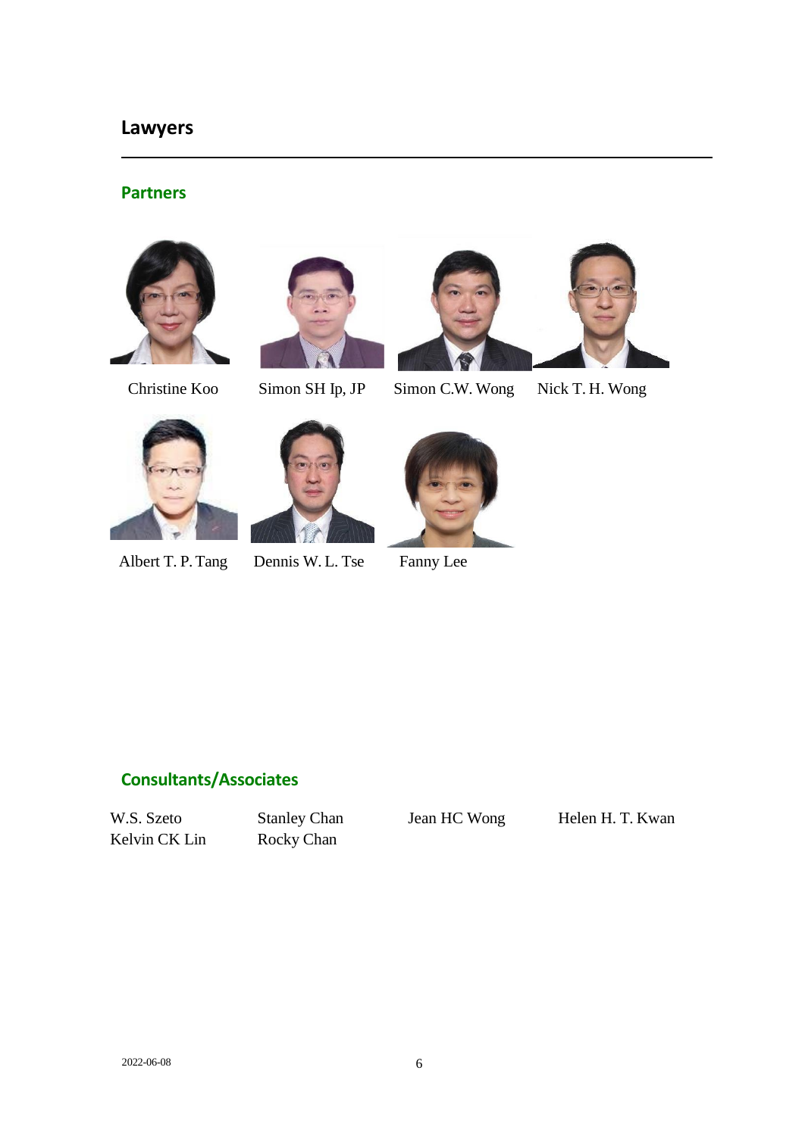## **Lawyers**

## **Partners**







Christine Koo Simon SH Ip, JP Simon C.W. Wong Nick T. H. Wong





Albert T. P. Tang Dennis W. L. Tse Fanny Lee

W.S. Szeto Stanley Chan Jean HC Wong Helen H. T. Kwan

**Consultants/Associates**

Kelvin CK Lin Rocky Chan

2022-06-08 6